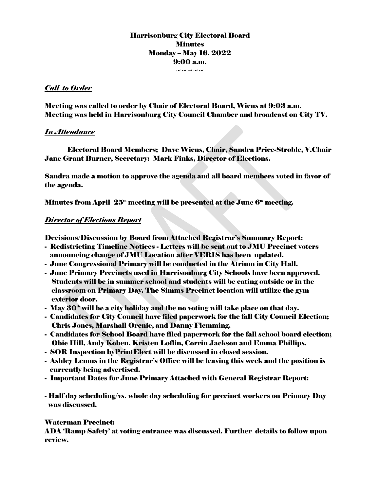# Harrisonburg City Electoral Board **Minutes** Monday – May 16, 2022 9:00 a.m.

 $\sim$   $\sim$   $\sim$   $\sim$ 

## *Call to Order*

Meeting was called to order by Chair of Electoral Board, Wiens at 9:03 a.m. Meeting was held in Harrisonburg City Council Chamber and broadcast on City TV.

## *In Attendance*

Electoral Board Members; Dave Wiens, Chair, Sandra Price-Stroble, V.Chair Jane Grant Burner, Secretary: Mark Finks, Director of Elections.

Sandra made a motion to approve the agenda and all board members voted in favor of the agenda.

Minutes from April  $25<sup>th</sup>$  meeting will be presented at the June  $6<sup>th</sup>$  meeting.

## *Director of Elections Report*

Decisions/Discussion by Board from Attached Registrar's Summary Report:

- Redistricting Timeline Notices Letters will be sent out to JMU Precinct voters announcing change of JMU Location after VERIS has been updated.
- June Congressional Primary will be conducted in the Atrium in City Hall.
- June Primary Precincts used in Harrisonburg City Schools have been approved. Students will be in summer school and students will be eating outside or in the classroom on Primary Day. The Simms Precinct location will utilize the gym exterior door.
- May  $30<sup>th</sup>$  will be a city holiday and the no voting will take place on that day.
- Candidates for City Council have filed paperwork for the fall City Council Election; Chris Jones, Marshall Orenic, and Danny Flemming.
- Candidates for School Board have filed paperwork for the fall school board election; Obie Hill, Andy Kohen, Kristen Loflin, Corrin Jackson and Emma Phillips.
- SOR Inspection byPrintElect will be discussed in closed session.
- Ashley Lemus in the Registrar's Office will be leaving this week and the position is currently being advertised.
- Important Dates for June Primary Attached with General Registrar Report:
- Half day scheduling/vs. whole day scheduling for precinct workers on Primary Day was discussed.

#### Waterman Precinct:

ADA 'Ramp Safety' at voting entrance was discussed. Further details to follow upon review.